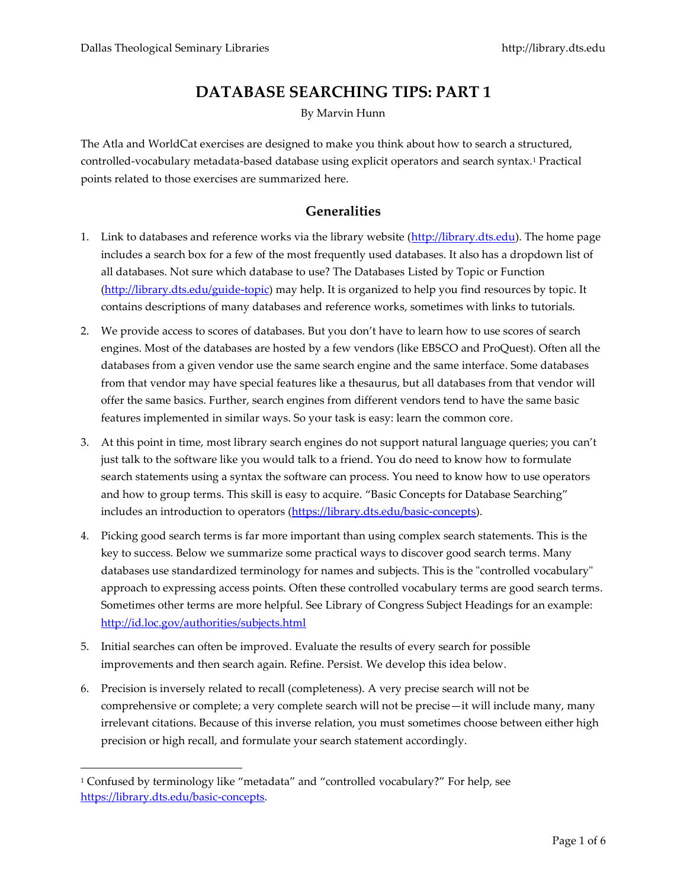# **DATABASE SEARCHING TIPS: PART 1**

By Marvin Hunn

The Atla and WorldCat exercises are designed to make you think about how to search a structured, controlled-vocabulary metadata-based database using explicit operators and search syntax.<sup>1</sup> Practical points related to those exercises are summarized here.

## **Generalities**

- 1. Link to databases and reference works via the library website [\(http://library.dts.edu\)](http://library.dts.edu/). The home page includes a search box for a few of the most frequently used databases. It also has a dropdown list of all databases. Not sure which database to use? The Databases Listed by Topic or Function [\(http://library.dts.edu/guide-topic\)](http://library.dts.edu/guide-topic) may help. It is organized to help you find resources by topic. It contains descriptions of many databases and reference works, sometimes with links to tutorials.
- 2. We provide access to scores of databases. But you don't have to learn how to use scores of search engines. Most of the databases are hosted by a few vendors (like EBSCO and ProQuest). Often all the databases from a given vendor use the same search engine and the same interface. Some databases from that vendor may have special features like a thesaurus, but all databases from that vendor will offer the same basics. Further, search engines from different vendors tend to have the same basic features implemented in similar ways. So your task is easy: learn the common core.
- 3. At this point in time, most library search engines do not support natural language queries; you can't just talk to the software like you would talk to a friend. You do need to know how to formulate search statements using a syntax the software can process. You need to know how to use operators and how to group terms. This skill is easy to acquire. "Basic Concepts for Database Searching" includes an introduction to operators [\(https://library.dts.edu/basic-concepts\)](https://library.dts.edu/basic-concepts).
- 4. Picking good search terms is far more important than using complex search statements. This is the key to success. Below we summarize some practical ways to discover good search terms. Many databases use standardized terminology for names and subjects. This is the "controlled vocabulary" approach to expressing access points. Often these controlled vocabulary terms are good search terms. Sometimes other terms are more helpful. See Library of Congress Subject Headings for an example: <http://id.loc.gov/authorities/subjects.html>
- 5. Initial searches can often be improved. Evaluate the results of every search for possible improvements and then search again. Refine. Persist. We develop this idea below.
- 6. Precision is inversely related to recall (completeness). A very precise search will not be comprehensive or complete; a very complete search will not be precise—it will include many, many irrelevant citations. Because of this inverse relation, you must sometimes choose between either high precision or high recall, and formulate your search statement accordingly.

<sup>1</sup> Confused by terminology like "metadata" and "controlled vocabulary?" For help, see [https://library.dts.edu/basic-concepts.](https://library.dts.edu/basic-concepts)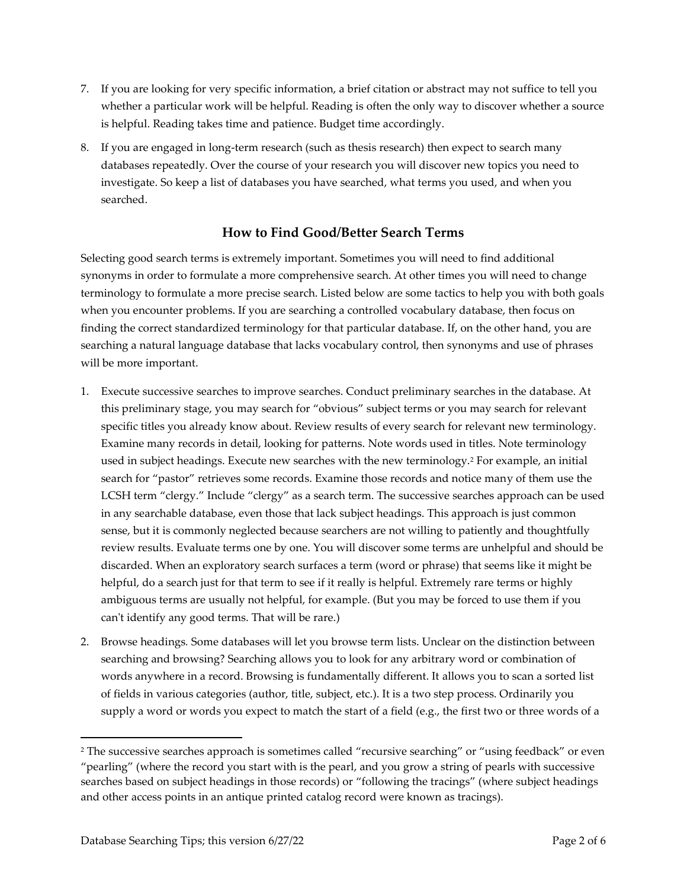- 7. If you are looking for very specific information, a brief citation or abstract may not suffice to tell you whether a particular work will be helpful. Reading is often the only way to discover whether a source is helpful. Reading takes time and patience. Budget time accordingly.
- 8. If you are engaged in long-term research (such as thesis research) then expect to search many databases repeatedly. Over the course of your research you will discover new topics you need to investigate. So keep a list of databases you have searched, what terms you used, and when you searched.

## **How to Find Good/Better Search Terms**

Selecting good search terms is extremely important. Sometimes you will need to find additional synonyms in order to formulate a more comprehensive search. At other times you will need to change terminology to formulate a more precise search. Listed below are some tactics to help you with both goals when you encounter problems. If you are searching a controlled vocabulary database, then focus on finding the correct standardized terminology for that particular database. If, on the other hand, you are searching a natural language database that lacks vocabulary control, then synonyms and use of phrases will be more important.

- 1. Execute successive searches to improve searches. Conduct preliminary searches in the database. At this preliminary stage, you may search for "obvious" subject terms or you may search for relevant specific titles you already know about. Review results of every search for relevant new terminology. Examine many records in detail, looking for patterns. Note words used in titles. Note terminology used in subject headings. Execute new searches with the new terminology.<sup>2</sup> For example, an initial search for "pastor" retrieves some records. Examine those records and notice many of them use the LCSH term "clergy." Include "clergy" as a search term. The successive searches approach can be used in any searchable database, even those that lack subject headings. This approach is just common sense, but it is commonly neglected because searchers are not willing to patiently and thoughtfully review results. Evaluate terms one by one. You will discover some terms are unhelpful and should be discarded. When an exploratory search surfaces a term (word or phrase) that seems like it might be helpful, do a search just for that term to see if it really is helpful. Extremely rare terms or highly ambiguous terms are usually not helpful, for example. (But you may be forced to use them if you can't identify any good terms. That will be rare.)
- 2. Browse headings*.* Some databases will let you browse term lists. Unclear on the distinction between searching and browsing? Searching allows you to look for any arbitrary word or combination of words anywhere in a record. Browsing is fundamentally different. It allows you to scan a sorted list of fields in various categories (author, title, subject, etc.). It is a two step process. Ordinarily you supply a word or words you expect to match the start of a field (e.g., the first two or three words of a

<sup>&</sup>lt;sup>2</sup> The successive searches approach is sometimes called "recursive searching" or "using feedback" or even "pearling" (where the record you start with is the pearl, and you grow a string of pearls with successive searches based on subject headings in those records) or "following the tracings" (where subject headings and other access points in an antique printed catalog record were known as tracings).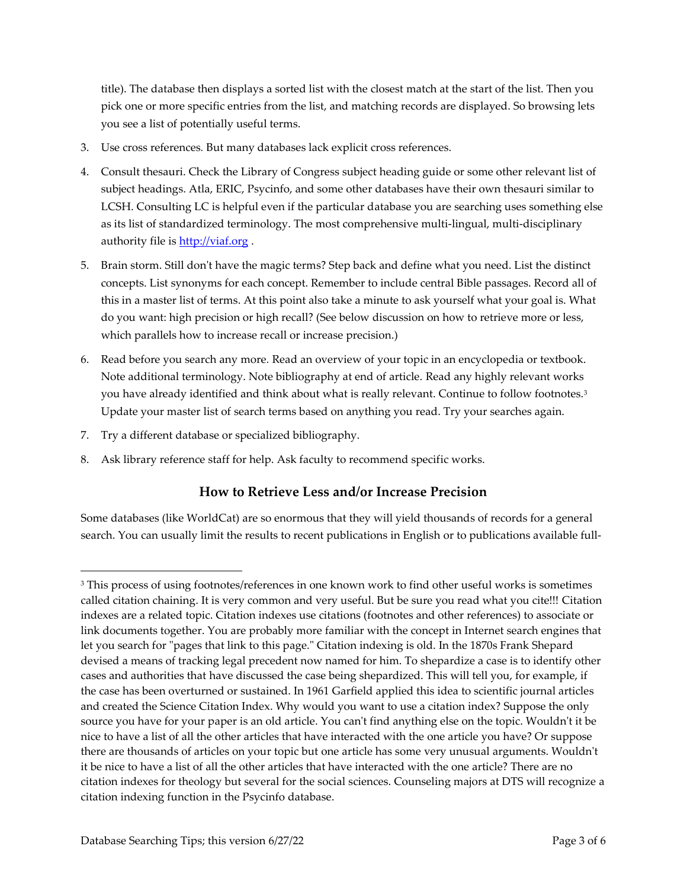title). The database then displays a sorted list with the closest match at the start of the list. Then you pick one or more specific entries from the list, and matching records are displayed. So browsing lets you see a list of potentially useful terms.

- 3. Use cross references*.* But many databases lack explicit cross references.
- 4. Consult thesauri. Check the Library of Congress subject heading guide or some other relevant list of subject headings. Atla, ERIC, Psycinfo, and some other databases have their own thesauri similar to LCSH. Consulting LC is helpful even if the particular database you are searching uses something else as its list of standardized terminology. The most comprehensive multi-lingual, multi-disciplinary authority file is **http://viaf.org**.
- 5. Brain storm. Still don't have the magic terms? Step back and define what you need. List the distinct concepts. List synonyms for each concept. Remember to include central Bible passages. Record all of this in a master list of terms. At this point also take a minute to ask yourself what your goal is. What do you want: high precision or high recall? (See below discussion on how to retrieve more or less, which parallels how to increase recall or increase precision.)
- 6. Read before you search any more*.* Read an overview of your topic in an encyclopedia or textbook. Note additional terminology. Note bibliography at end of article. Read any highly relevant works you have already identified and think about what is really relevant. Continue to follow footnotes.<sup>3</sup> Update your master list of search terms based on anything you read. Try your searches again.
- 7. Try a different database or specialized bibliography.
- 8. Ask library reference staff for help. Ask faculty to recommend specific works.

# **How to Retrieve Less and/or Increase Precision**

Some databases (like WorldCat) are so enormous that they will yield thousands of records for a general search. You can usually limit the results to recent publications in English or to publications available full-

<sup>&</sup>lt;sup>3</sup> This process of using footnotes/references in one known work to find other useful works is sometimes called citation chaining. It is very common and very useful. But be sure you read what you cite!!! Citation indexes are a related topic. Citation indexes use citations (footnotes and other references) to associate or link documents together. You are probably more familiar with the concept in Internet search engines that let you search for "pages that link to this page." Citation indexing is old. In the 1870s Frank Shepard devised a means of tracking legal precedent now named for him. To shepardize a case is to identify other cases and authorities that have discussed the case being shepardized. This will tell you, for example, if the case has been overturned or sustained. In 1961 Garfield applied this idea to scientific journal articles and created the Science Citation Index. Why would you want to use a citation index? Suppose the only source you have for your paper is an old article. You can't find anything else on the topic. Wouldn't it be nice to have a list of all the other articles that have interacted with the one article you have? Or suppose there are thousands of articles on your topic but one article has some very unusual arguments. Wouldn't it be nice to have a list of all the other articles that have interacted with the one article? There are no citation indexes for theology but several for the social sciences. Counseling majors at DTS will recognize a citation indexing function in the Psycinfo database.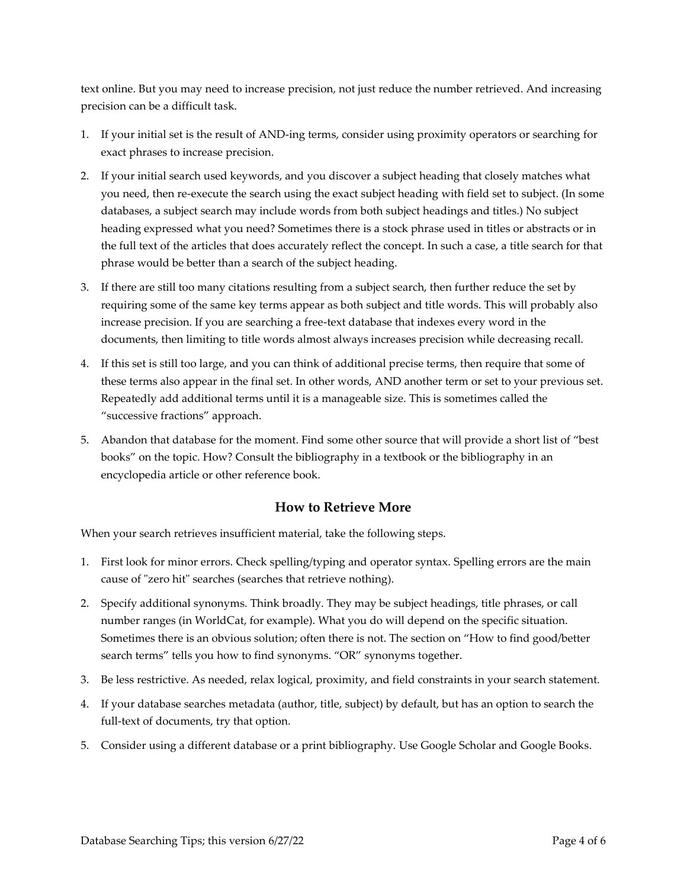text online. But you may need to increase precision, not just reduce the number retrieved. And increasing precision can be a difficult task.

- 1. If your initial set is the result of AND-ing terms, consider using proximity operators or searching for exact phrases to increase precision.
- 2. If your initial search used keywords, and you discover a subject heading that closely matches what you need, then re-execute the search using the exact subject heading with field set to subject. (In some databases, a subject search may include words from both subject headings and titles.) No subject heading expressed what you need? Sometimes there is a stock phrase used in titles or abstracts or in the full text of the articles that does accurately reflect the concept. In such a case, a title search for that phrase would be better than a search of the subject heading.
- 3. If there are still too many citations resulting from a subject search, then further reduce the set by requiring some of the same key terms appear as both subject and title words. This will probably also increase precision. If you are searching a free-text database that indexes every word in the documents, then limiting to title words almost always increases precision while decreasing recall.
- 4. If this set is still too large, and you can think of additional precise terms, then require that some of these terms also appear in the final set. In other words, AND another term or set to your previous set. Repeatedly add additional terms until it is a manageable size. This is sometimes called the "successive fractions" approach.
- 5. Abandon that database for the moment. Find some other source that will provide a short list of "best books" on the topic. How? Consult the bibliography in a textbook or the bibliography in an encyclopedia article or other reference book.

#### **How to Retrieve More**

When your search retrieves insufficient material, take the following steps.

- 1. First look for minor errors. Check spelling/typing and operator syntax. Spelling errors are the main cause of "zero hit" searches (searches that retrieve nothing).
- 2. Specify additional synonyms. Think broadly. They may be subject headings, title phrases, or call number ranges (in WorldCat, for example). What you do will depend on the specific situation. Sometimes there is an obvious solution; often there is not. The section on "How to find good/better search terms" tells you how to find synonyms. "OR" synonyms together.
- 3. Be less restrictive. As needed, relax logical, proximity, and field constraints in your search statement.
- 4. If your database searches metadata (author, title, subject) by default, but has an option to search the full-text of documents, try that option.
- 5. Consider using a different database or a print bibliography. Use Google Scholar and Google Books.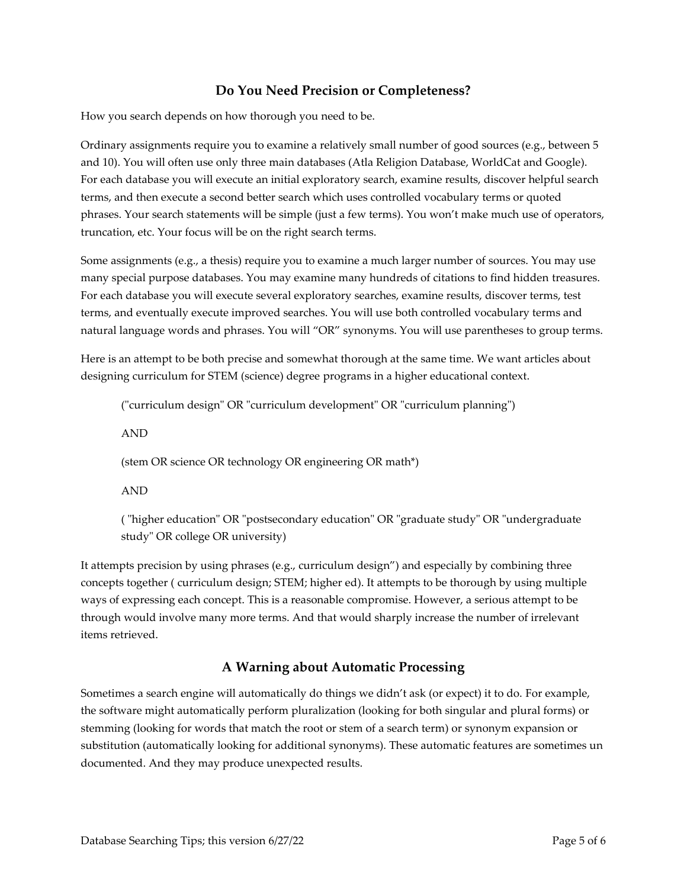# **Do You Need Precision or Completeness?**

How you search depends on how thorough you need to be.

Ordinary assignments require you to examine a relatively small number of good sources (e.g., between 5 and 10). You will often use only three main databases (Atla Religion Database, WorldCat and Google). For each database you will execute an initial exploratory search, examine results, discover helpful search terms, and then execute a second better search which uses controlled vocabulary terms or quoted phrases. Your search statements will be simple (just a few terms). You won't make much use of operators, truncation, etc. Your focus will be on the right search terms.

Some assignments (e.g., a thesis) require you to examine a much larger number of sources. You may use many special purpose databases. You may examine many hundreds of citations to find hidden treasures. For each database you will execute several exploratory searches, examine results, discover terms, test terms, and eventually execute improved searches. You will use both controlled vocabulary terms and natural language words and phrases. You will "OR" synonyms. You will use parentheses to group terms.

Here is an attempt to be both precise and somewhat thorough at the same time. We want articles about designing curriculum for STEM (science) degree programs in a higher educational context.

("curriculum design" OR "curriculum development" OR "curriculum planning")

AND

(stem OR science OR technology OR engineering OR math\*)

AND

( "higher education" OR "postsecondary education" OR "graduate study" OR "undergraduate study" OR college OR university)

It attempts precision by using phrases (e.g., curriculum design") and especially by combining three concepts together ( curriculum design; STEM; higher ed). It attempts to be thorough by using multiple ways of expressing each concept. This is a reasonable compromise. However, a serious attempt to be through would involve many more terms. And that would sharply increase the number of irrelevant items retrieved.

#### **A Warning about Automatic Processing**

Sometimes a search engine will automatically do things we didn't ask (or expect) it to do. For example, the software might automatically perform pluralization (looking for both singular and plural forms) or stemming (looking for words that match the root or stem of a search term) or synonym expansion or substitution (automatically looking for additional synonyms). These automatic features are sometimes un documented. And they may produce unexpected results.